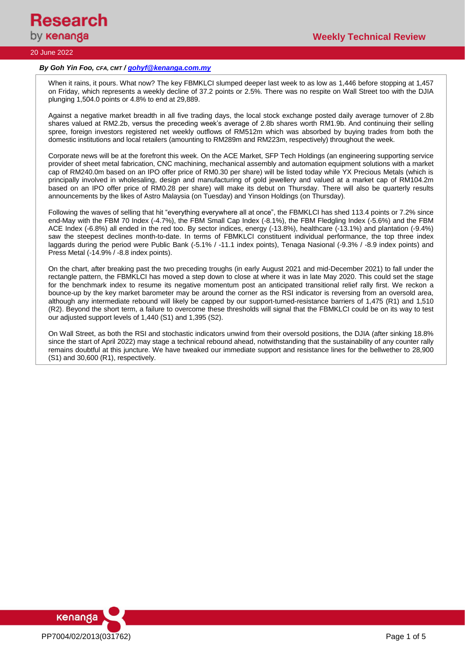

### 20 June 2022

### *By Goh Yin Foo, CFA, CMT / [gohyf@kenanga.com.my](mailto:gohyf@kenanga.com.my)*

When it rains, it pours. What now? The key FBMKLCI slumped deeper last week to as low as 1,446 before stopping at 1,457 on Friday, which represents a weekly decline of 37.2 points or 2.5%. There was no respite on Wall Street too with the DJIA plunging 1,504.0 points or 4.8% to end at 29,889.

Against a negative market breadth in all five trading days, the local stock exchange posted daily average turnover of 2.8b shares valued at RM2.2b, versus the preceding week's average of 2.8b shares worth RM1.9b. And continuing their selling spree, foreign investors registered net weekly outflows of RM512m which was absorbed by buying trades from both the domestic institutions and local retailers (amounting to RM289m and RM223m, respectively) throughout the week.

Corporate news will be at the forefront this week. On the ACE Market, SFP Tech Holdings (an engineering supporting service provider of sheet metal fabrication, CNC machining, mechanical assembly and automation equipment solutions with a market cap of RM240.0m based on an IPO offer price of RM0.30 per share) will be listed today while YX Precious Metals (which is principally involved in wholesaling, design and manufacturing of gold jewellery and valued at a market cap of RM104.2m based on an IPO offer price of RM0.28 per share) will make its debut on Thursday. There will also be quarterly results announcements by the likes of Astro Malaysia (on Tuesday) and Yinson Holdings (on Thursday).

Following the waves of selling that hit "everything everywhere all at once", the FBMKLCI has shed 113.4 points or 7.2% since end-May with the FBM 70 Index (-4.7%), the FBM Small Cap Index (-8.1%), the FBM Fledgling Index (-5.6%) and the FBM ACE Index (-6.8%) all ended in the red too. By sector indices, energy (-13.8%), healthcare (-13.1%) and plantation (-9.4%) saw the steepest declines month-to-date. In terms of FBMKLCI constituent individual performance, the top three index laggards during the period were Public Bank (-5.1% / -11.1 index points), Tenaga Nasional (-9.3% / -8.9 index points) and Press Metal (-14.9% / -8.8 index points).

On the chart, after breaking past the two preceding troughs (in early August 2021 and mid-December 2021) to fall under the rectangle pattern, the FBMKLCI has moved a step down to close at where it was in late May 2020. This could set the stage for the benchmark index to resume its negative momentum post an anticipated transitional relief rally first. We reckon a bounce-up by the key market barometer may be around the corner as the RSI indicator is reversing from an oversold area, although any intermediate rebound will likely be capped by our support-turned-resistance barriers of 1,475 (R1) and 1,510 (R2). Beyond the short term, a failure to overcome these thresholds will signal that the FBMKLCI could be on its way to test our adjusted support levels of 1,440 (S1) and 1,395 (S2).

On Wall Street, as both the RSI and stochastic indicators unwind from their oversold positions, the DJIA (after sinking 18.8% since the start of April 2022) may stage a technical rebound ahead, notwithstanding that the sustainability of any counter rally remains doubtful at this juncture. We have tweaked our immediate support and resistance lines for the bellwether to 28,900 (S1) and 30,600 (R1), respectively.

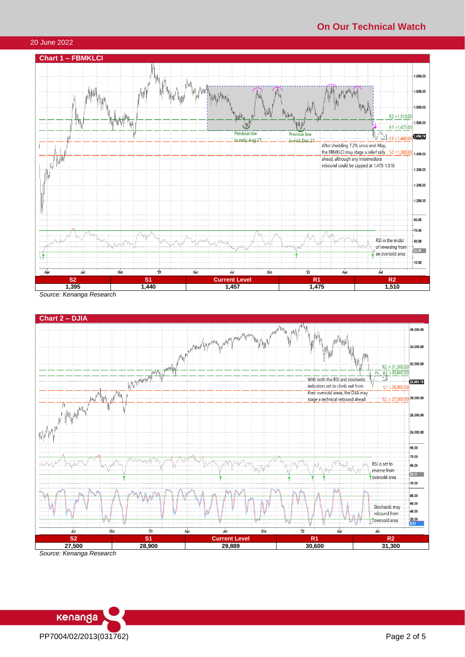# **On Our Technical Watch**

## 20 June 2022



*Source: Kenanga Research*



*Source: Kenanga Research*

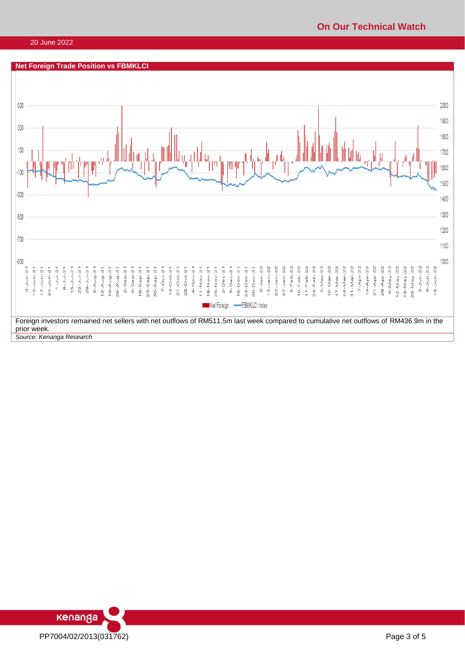## **On Our Technical Watch**

### 20 June 2022



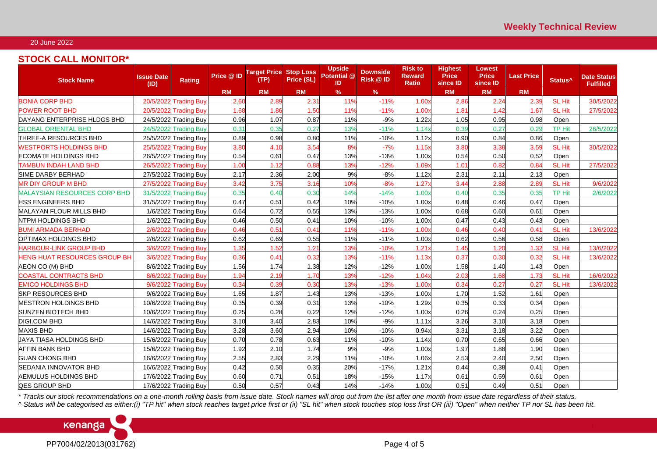## 20 June 2022

## **STOCK CALL MONITOR\***

| <b>Stock Name</b>                   | <b>Issue Date</b><br>(ID) | <b>Rating</b>         | Price @ ID | <b>Target Price Stop Loss</b><br>(TP) | Price (SL) | <b>Upside</b><br>Potential @<br>ID | <b>Downside</b><br>Risk @ ID | <b>Risk to</b><br>Reward<br><b>Ratio</b> | <b>Highest</b><br><b>Price</b><br>since ID | <b>Lowest</b><br><b>Price</b><br>since ID | <b>Last Price</b> | Status <sup>^</sup> | <b>Date Status</b><br><b>Fulfilled</b> |
|-------------------------------------|---------------------------|-----------------------|------------|---------------------------------------|------------|------------------------------------|------------------------------|------------------------------------------|--------------------------------------------|-------------------------------------------|-------------------|---------------------|----------------------------------------|
|                                     |                           |                       | <b>RM</b>  | <b>RM</b>                             | <b>RM</b>  | $\%$                               | %                            |                                          | <b>RM</b>                                  | <b>RM</b>                                 | <b>RM</b>         |                     |                                        |
| <b>BONIA CORP BHD</b>               | 20/5/2022                 | <b>Trading Buy</b>    | 2.60       | 2.89                                  | 2.31       | 11%                                | $-119$                       | 1.00x                                    | 2.86                                       | 2.24                                      | 2.39              | <b>SL Hit</b>       | 30/5/2022                              |
| POWER ROOT BHD                      | 20/5/2022                 | <b>Trading Buy</b>    | 1.68       | 1.86                                  | 1.5C       | 11%                                | $-119$                       | 1.00x                                    | 1.81                                       | 1.42                                      | 1.67              | <b>SL Hit</b>       | 27/5/2022                              |
| DAYANG ENTERPRISE HLDGS BHD         | 24/5/2022                 | <b>Trading Buy</b>    | 0.96       | 1.07                                  | 0.87       | 11%                                | $-9%$                        | 1.22x                                    | 1.05                                       | 0.95                                      | 0.98              | Open                |                                        |
| <b>GLOBAL ORIENTAL BHD</b>          | 24/5/2022                 | <b>Trading Buy</b>    | 0.31       | 0.35                                  | 0.27       | 13%                                | $-11%$                       | 1.14x                                    | 0.39                                       | 0.27                                      | 0.29              | TP Hit              | 26/5/2022                              |
| THREE-A RESOURCES BHD               |                           | 25/5/2022 Trading Buy | 0.89       | 0.98                                  | 0.80       | 11%                                | $-10%$                       | 1.12x                                    | 0.90                                       | 0.84                                      | 0.86              | Open                |                                        |
| <b>WESTPORTS HOLDINGS BHD</b>       | 25/5/2022                 | <b>Trading Buy</b>    | 3.80       | 4.10                                  | 3.54       | 8%                                 | $-7%$                        | 1.15x                                    | 3.80                                       | 3.38                                      | 3.59              | <b>SL Hit</b>       | 30/5/2022                              |
| <b>ECOMATE HOLDINGS BHD</b>         | 26/5/2022                 | <b>Trading Buy</b>    | 0.54       | 0.61                                  | 0.47       | 13%                                | $-13%$                       | 1.00x                                    | 0.54                                       | 0.50                                      | 0.52              | Open                |                                        |
| <b>TAMBUN INDAH LAND BHD</b>        | 26/5/2022                 | <b>Trading Buy</b>    | 1.00       | 1.12                                  | 0.88       | 13%                                | $-12%$                       | 1.09x                                    | 1.01                                       | 0.82                                      | 0.84              | <b>SL Hit</b>       | 27/5/2022                              |
| SIME DARBY BERHAD                   | 27/5/2022                 | <b>Trading Buy</b>    | 2.17       | 2.36                                  | 2.00       | 9%                                 | $-8%$                        | 1.12x                                    | 2.31                                       | 2.11                                      | 2.13              | Open                |                                        |
| <b>MR DIY GROUP M BHD</b>           | 27/5/2022                 | <b>Trading Buy</b>    | 3.42       | 3.75                                  | 3.16       | 10%                                | $-8%$                        | 1.27x                                    | 3.44                                       | 2.88                                      | 2.89              | <b>SL Hit</b>       | 9/6/2022                               |
| <b>MALAYSIAN RESOURCES CORP BHD</b> | 31/5/2022                 | <b>Trading Buy</b>    | 0.35       | 0.40                                  | 0.30       | 14%                                | $-14%$                       | 1.00x                                    | 0.40                                       | 0.35                                      | 0.35              | TP Hit              | 2/6/2022                               |
| <b>HSS ENGINEERS BHD</b>            | 31/5/2022                 | <b>Trading Buy</b>    | 0.47       | 0.51                                  | 0.42       | 10%                                | $-10%$                       | 1.00x                                    | 0.48                                       | 0.46                                      | 0.47              | Open                |                                        |
| MALAYAN FLOUR MILLS BHD             | 1/6/2022                  | <b>Trading Buy</b>    | 0.64       | 0.72                                  | 0.55       | 13%                                | $-13%$                       | 1.00x                                    | 0.68                                       | 0.60                                      | 0.61              | Open                |                                        |
| <b>NTPM HOLDINGS BHD</b>            | 1/6/2022                  | <b>Trading Buy</b>    | 0.46       | 0.50                                  | 0.41       | 10%                                | $-10%$                       | 1.00x                                    | 0.47                                       | 0.43                                      | 0.43              | Open                |                                        |
| <b>BUMI ARMADA BERHAD</b>           | 2/6/2022                  | <b>Trading Buy</b>    | 0.46       | 0.51                                  | 0.41       | 11%                                | $-11%$                       | 1.00x                                    | 0.46                                       | 0.40                                      | $0.4^{\circ}$     | SL Hit              | 13/6/2022                              |
| OPTIMAX HOLDINGS BHD                | 2/6/2022                  | <b>Trading Buy</b>    | 0.62       | 0.69                                  | 0.55       | 11%                                | $-11%$                       | 1.00x                                    | 0.62                                       | 0.56                                      | 0.58              | Open                |                                        |
| <b>HARBOUR-LINK GROUP BHD</b>       | 3/6/2022                  | Trading Buy           | 1.35       | 1.52                                  | 1.21       | 13%                                | $-10%$                       | 1.21x                                    | 1.45                                       | 1.20                                      | 1.32              | <b>SL Hit</b>       | 13/6/2022                              |
| <b>HENG HUAT RESOURCES GROUP BH</b> | 3/6/2022                  | <b>Trading Buy</b>    | 0.36       | 0.41                                  | 0.32       | 13%                                | $-11%$                       | 1.13x                                    | 0.37                                       | 0.30                                      | 0.32              | <b>SL Hit</b>       | 13/6/2022                              |
| AEON CO (M) BHD                     | 8/6/2022                  | <b>Trading Buy</b>    | 1.56       | 1.74                                  | 1.38       | 12%                                | $-12%$                       | 1.00x                                    | 1.58                                       | 1.40                                      | 1.43              | Open                |                                        |
| <b>COASTAL CONTRACTS BHD</b>        | 8/6/2022                  | <b>Trading Buy</b>    | 1.94       | 2.19                                  | 1.70       | 13%                                | $-12%$                       | 1.04x                                    | 2.03                                       | 1.68                                      | 1.73              | <b>SL Hit</b>       | 16/6/2022                              |
| <b>EMICO HOLDINGS BHD</b>           | 9/6/2022                  | <b>Trading Buy</b>    | 0.34       | 0.39                                  | 0.30       | 13%                                | $-13%$                       | 1.00x                                    | 0.34                                       | 0.27                                      | 0.27              | <b>SL Hit</b>       | 13/6/2022                              |
| <b>SKP RESOURCES BHD</b>            |                           | 9/6/2022 Trading Buy  | 1.65       | 1.87                                  | 1.43       | 13%                                | $-13%$                       | 1.00x                                    | 1.70                                       | 1.52                                      | 1.61              | Open                |                                        |
| <b>IMESTRON HOLDINGS BHD</b>        |                           | 10/6/2022 Trading Buy | 0.35       | 0.39                                  | 0.31       | 13%                                | $-10%$                       | 1.29x                                    | 0.35                                       | 0.33                                      | 0.34              | Open                |                                        |
| <b>SUNZEN BIOTECH BHD</b>           | 10/6/2022                 | <b>Trading Buy</b>    | 0.25       | 0.28                                  | 0.22       | 12%                                | $-12%$                       | 1.00x                                    | 0.26                                       | 0.24                                      | 0.25              | Open                |                                        |
| <b>DIGI.COM BHD</b>                 | 14/6/2022                 | <b>Trading Buy</b>    | 3.10       | 3.40                                  | 2.83       | 10%                                | $-9%$                        | 1.11x                                    | 3.26                                       | 3.10                                      | 3.18              | Open                |                                        |
| <b>MAXIS BHD</b>                    |                           | 14/6/2022 Trading Buy | 3.28       | 3.60                                  | 2.94       | 10%                                | $-10%$                       | 0.94x                                    | 3.31                                       | 3.18                                      | 3.22              | Open                |                                        |
| UAYA TIASA HOLDINGS BHD             | 15/6/2022                 | <b>Trading Buy</b>    | 0.70       | 0.78                                  | 0.63       | 11%                                | $-10%$                       | 1.14x                                    | 0.70                                       | 0.65                                      | 0.66              | Open                |                                        |
| AFFIN BANK BHD                      | 15/6/2022                 | <b>Trading Buy</b>    | 1.92       | 2.10                                  | 1.74       | 9%                                 | $-9%$                        | 1.00x                                    | 1.97                                       | 1.88                                      | 1.90              | Open                |                                        |
| <b>GUAN CHONG BHD</b>               |                           | 16/6/2022 Trading Buy | 2.55       | 2.83                                  | 2.29       | 11%                                | $-10%$                       | 1.06x                                    | 2.53                                       | 2.40                                      | 2.50              | Open                |                                        |
| <b>SEDANIA INNOVATOR BHD</b>        | 16/6/2022                 | <b>Trading Buy</b>    | 0.42       | 0.50                                  | 0.35       | 20%                                | $-17%$                       | 1.21x                                    | 0.44                                       | 0.38                                      | 0.41              | Open                |                                        |
| AEMULUS HOLDINGS BHD                | 17/6/2022                 | <b>Trading Buy</b>    | 0.60       | 0.71                                  | 0.51       | 18%                                | $-15%$                       | 1.17x                                    | 0.61                                       | 0.59                                      | 0.61              | Open                |                                        |
| <b>QES GROUP BHD</b>                |                           | 17/6/2022 Trading Buy | 0.50       | 0.57                                  | 0.43       | 14%                                | $-14%$                       | 1.00x                                    | 0.51                                       | 0.49                                      | 0.51              | Open                |                                        |

*\* Tracks our stock recommendations on a one-month rolling basis from issue date. Stock names will drop out from the list after one month from issue date regardless of their status.*

*^ Status will be categorised as either:(i) "TP hit" when stock reaches target price first or (ii) "SL hit" when stock touches stop loss first OR (iii) "Open" when neither TP nor SL has been hit.*